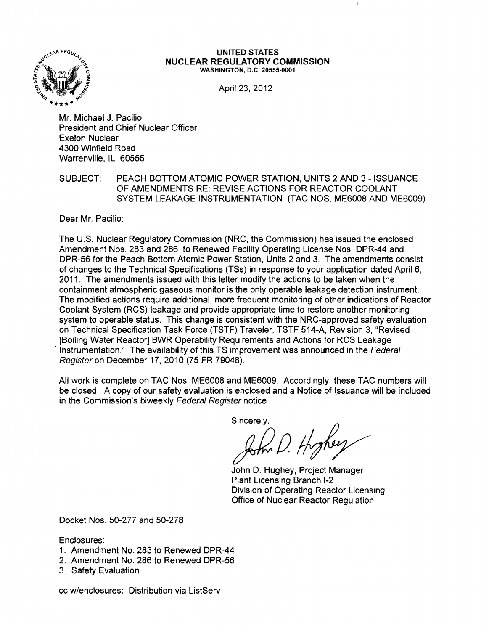

#### **UNITED STATES NUCLEAR REGULATORY COMMISSION** WASHINGTON, D.C. 20555·0001

April 23, 2012

Mr. Michael J. Pacilio President and Chief Nuclear Officer Exelon Nuclear 4300 Winfield Road Warrenville, IL 60555

## SUBJECT: PEACH BOTTOM ATOMIC POWER STATION, UNITS 2 AND 3 - ISSUANCE OF AMENDMENTS RE: REVISE ACTIONS FOR REACTOR COOLANT SYSTEM LEAKAGE INSTRUMENTATION (TAC NOS. ME6008 AND ME6009)

Dear Mr. Pacilio:

The U.S. Nuclear Regulatory Commission (NRC, the Commission) has issued the enclosed Amendment Nos. 283 and 286 to Renewed Facility Operating License Nos. DPR-44 and DPR-56 for the Peach Bottom Atomic Power Station, Units 2 and 3. The amendments consist of changes to the Technical Specifications (TSs) in response to your application dated April 6, 2011. The amendments issued with this letter modify the actions to be taken when the containment atmospheric gaseous monitor is the only operable leakage detection instrument. The modified actions require additional, more frequent monitoring of other indications of Reactor Coolant System (RCS) leakage and provide appropriate time to restore another monitoring system to operable status. This change is consistent with the NRC-approved safety evaluation on Technical Specification Task Force (TSTF) Traveler, TSTF 514-A, Revision 3, "Revised [Boiling Water Reactor] BWR Operability Requirements and Actions for RCS Leakage Instrumentation." The availability of this TS improvement was announced in the Federal Register on December 17, 2010 (75 FR 79048).

All work is complete on TAC Nos. ME6008 and ME6009. Accordingly, these TAC numbers will be closed. A copy of our safety evaluation is enclosed and a Notice of Issuance will be included in the Commission's biweekly Federal Register notice.

sincerely.<br>John D. Hyphen

John D. Hughey, Project Manager Plant Licensing Branch 1-2 Division of Operating Reactor licensing Office of Nuclear Reactor Regulation

Docket Nos. 50-277 and 50-278

Enclosures:

- 1. Amendment No. 283 to Renewed DPR-44
- 2. Amendment No. 286 to Renewed DPR-56
- 3. Safety Evaluation

cc w/enclosures: Distribution via ListServ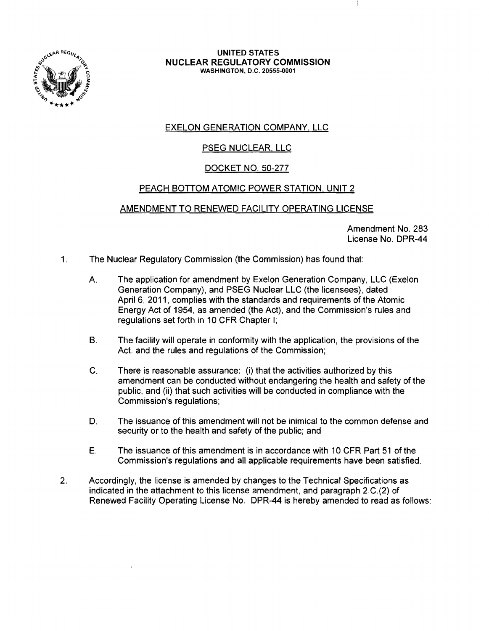

#### UNITED STATES NUCLEAR REGULATORY COMMISSION WASHINGTON, D.C. 20555·0001

# EXELON GENERATION COMPANY, LLC

# **PSEG NUCLEAR, LLC**

# DOCKET NO. 50-277

# PEACH BOTTOM ATOMIC POWER STATION, UNIT 2

## AMENDMENT TO RENEWED FACILITY OPERATING LICENSE

Amendment No. 283 License No. DPR-44

- 1. The Nuclear Regulatory Commission (the Commission) has found that:
	- A. The application for amendment by Exelon Generation Company, LLC (Exelon Generation Company), and PSEG Nuclear LLC (the licensees), dated April 6, 2011, complies with the standards and requirements of the Atomic Energy Act of 1954, as amended (the Act), and the Commission's rules and regulations set forth in 10 CFR Chapter I;
	- B. The facility will operate in conformity with the application, the provisions of the Act, and the rules and regulations of the Commission;
	- C. There is reasonable assurance: (i) that the activities authorized by this amendment can be conducted without endangering the health and safety of the public, and (ii) that such activities will be conducted in compliance with the Commission's regulations;
	- D. The issuance of this amendment will not be inimical to the common defense and security or to the health and safety of the public; and
	- E. The issuance of this amendment is in accordance with 10 CFR Part 51 of the Commission's regulations and all applicable requirements have been satisfied.
- 2. Accordingly, the license is amended by changes to the Technical Specifications as indicated in the attachment to this license amendment, and paragraph 2.C.(2) of Renewed Facility Operating License No. DPR-44 is hereby amended to read as follows: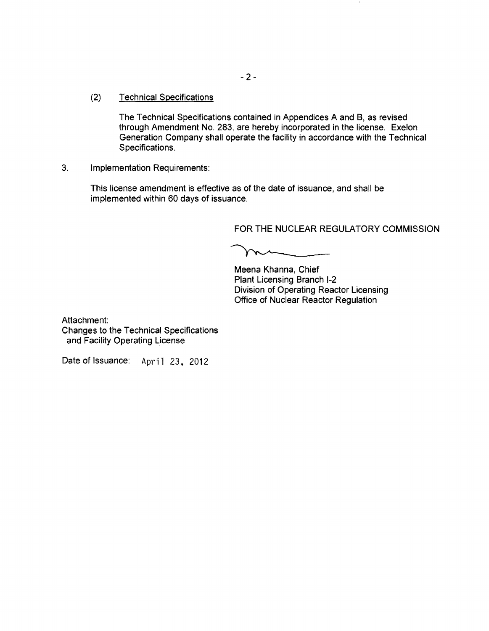(2) Technical Specifications

The Technical Specifications contained in Appendices A and B, as revised through Amendment No. 283, are hereby incorporated in the license. Exelon Generation Company shall operate the facility in accordance with the Technical Specifications.

3. Implementation Requirements:

This license amendment is effective as of the date of issuance, and shall be implemented within 60 days of issuance.

FOR THE NUCLEAR REGULATORY COMMISSION

 $\sim$ 

Meena Khanna, Chief Plant Licensing Branch 1-2 Division of Operating Reactor Licensing Office of Nuclear Reactor Regulation

Attachment: Changes to the Technical Specifications and Facility Operating License

Date of Issuance: April 23, 2012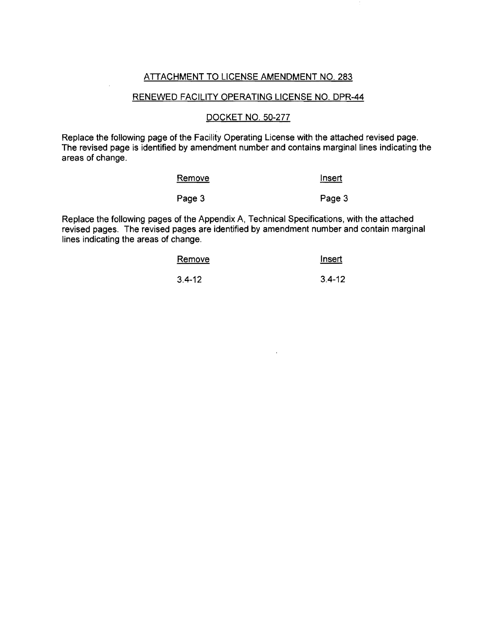## ATTACHMENT TO LICENSE AMENDMENT NO. 283

#### RENEWED FACILITY OPERATING LICENSE NO. DPR-44

### DOCKET NO. 50-277

Replace the following page of the Facility Operating License with the attached revised page. The revised page is identified by amendment number and contains marginal lines indicating the areas of change.

| <u>Remove</u> | Insert |
|---------------|--------|
| Page 3        | Page 3 |

Replace the following pages of the Appendix A, Technical Specifications, with the attached revised pages. The revised pages are identified by amendment number and contain marginal lines indicating the areas of change.

| Remove     | Insert     |  |  |
|------------|------------|--|--|
| $3.4 - 12$ | $3.4 - 12$ |  |  |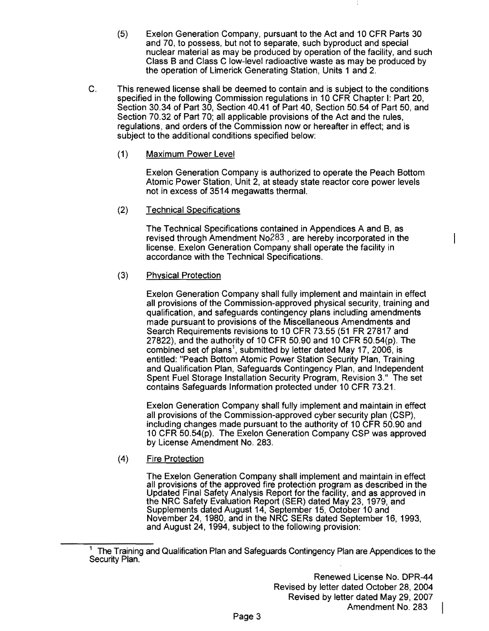- (5) Exelon Generation Company, pursuant to the Act and 10 CFR Parts 30 and 70, to possess, but not to separate, such byproduct and special nuclear material as may be produced by operation of the facility, and such Class B and Class C low-level radioactive waste as may be produced by the operation of Limerick Generating Station, Units 1 and 2.
- C. This renewed license shall be deemed to contain and is subject to the conditions specified in the following Commission regulations in 10 CFR Chapter I: Part 20, Section 30.34 of Part 30, Section 40.41 of Part 40, Section 50.54 of Part 50, and Section 70.32 of Part 70; all applicable provisions of the Act and the rules, regulations, and orders of the Commission now or hereafter in effect; and is subject to the additional conditions specified below:
	- (1) Maximum Power Level

Exelon Generation Company is authorized to operate the Peach Bottom Atomic Power Station, Unit 2, at steady state reactor core power levels not in excess of 3514 megawatts thermal.

(2) Technical Specifications

The Technical Specifications contained in Appendices A and B, as revised through Amendment N0283 , are hereby incorporated in the license. Exelon Generation Company shall operate the facility in accordance with the Technical Specifications.

## (3) Physical Protection

Exelon Generation Company shall fully implement and maintain in effect all provisions of the Commission-approved physical security, training and qualification, and safeguards contingency plans including amendments made pursuant to provisions of the Miscellaneous Amendments and Search Requirements revisions to 10 CFR 73.55 (51 FR 27817 and 27822), and the authority of 10 CFR 50.90 and 10 CFR 50.54(p). The combined set of plans<sup>1</sup>, submitted by letter dated May 17, 2006, is entitled: "Peach Bottom Atomic Power Station Security Plan, Training and Qualification Plan, Safeguards Contingency Plan, and Independent Spent Fuel Storage Installation Security Program, Revision 3." The set contains Safeguards Information protected under 10 CFR 73.21.

Exelon Generation Company shall fully implement and maintain in effect all provisions of the Commission-approved cyber security plan (CSP), including changes made pursuant to the authority of 10 CFR 50.90 and 10 CFR 50.54(p). The Exelon Generation Company CSP was approved by License Amendment No. 283.

## (4) Fire Protection

The Exelon Generation Company shall implement and maintain in effect all provisions of the approved fire protection program as described in the Updated Final Safety Analysis Report for the facility, and as approved in the NRC Safety Evaluation Report (SER) dated May 23, 1979, and Supplements dated August 14, September 15, October 10 and November 24,1980, and in the NRC SERs dated September 16, 1993, and August 24, 1994, subject to the following provision:

<sup>&</sup>lt;sup>1</sup> The Training and Qualification Plan and Safeguards Contingency Plan are Appendices to the Security Plan.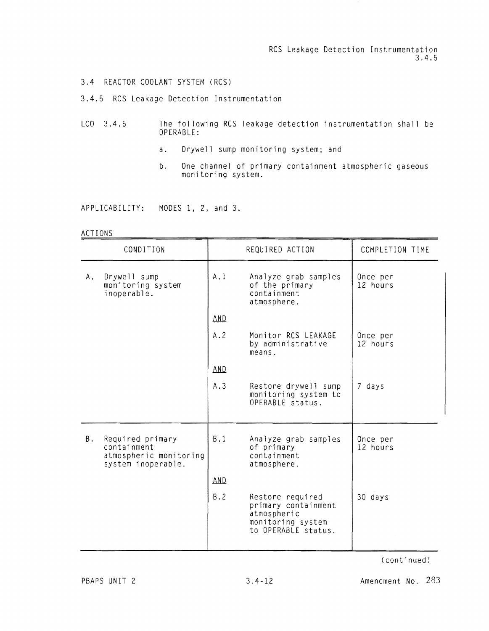RCS leakage Detection Instrumentation 3.4.5

 $\mathbf{1}$ 

#### 3.4 REACTOR COOLANT SYSTEM (RCS)

3.4.5 RCS leakage Detection Instrumentation

- $LCO$  3.4.5 OPE RABLE: following RCS leakage detection instrumentation shall be
	- a. Drywell sump monitoring system; and
	- b. One channel of primary containm ent atmospheric gaseous monitoring system.

APPLICABILITY: MODES 1, 2, and 3.

#### ACTIONS

| CONDITION |                                                                                 | REQUIRED ACTION |                                                                                                    | COMPLETION TIME      |  |
|-----------|---------------------------------------------------------------------------------|-----------------|----------------------------------------------------------------------------------------------------|----------------------|--|
| Α.        | Drywell sump<br>monitoring system<br>inoperable.                                | A.1             | Analyze grab samples<br>of the primary<br>containment<br>atmosphere.                               | Once per<br>12 hours |  |
|           |                                                                                 | AND             |                                                                                                    |                      |  |
|           |                                                                                 | A.2             | Monitor RCS LEAKAGE<br>by administrative<br>means.                                                 | Once per<br>12 hours |  |
|           |                                                                                 | <b>AND</b>      |                                                                                                    |                      |  |
|           |                                                                                 | A.3             | Restore drywell sump<br>monitoring system to<br>OPERABLE status.                                   | 7 days               |  |
| В.        | Required primary<br>containment<br>atmospheric monitoring<br>system inoperable. | B.1             | Analyze grab samples<br>of primary<br>containment<br>atmosphere.                                   | Once per<br>12 hours |  |
|           |                                                                                 | AND             |                                                                                                    |                      |  |
|           |                                                                                 | B.2             | Restore required<br>primary containment<br>atmospheric<br>monitoring system<br>to OPERABLE status. | 30 days              |  |

(continued)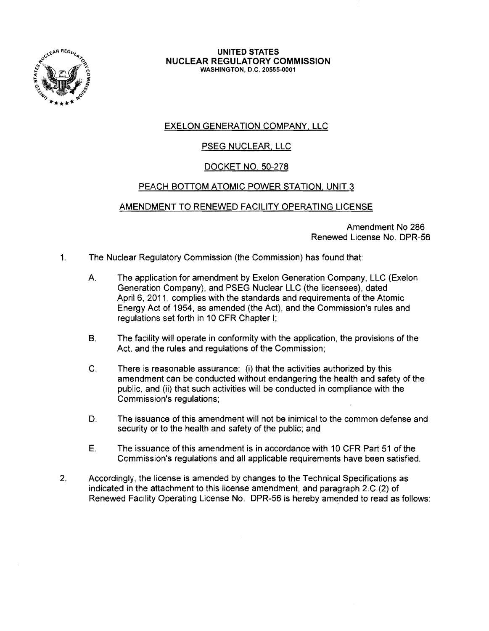

#### UNITED STATES NUCLEAR REGULATORY COMMISSION WASHINGTON, D.C. 20555-0001

# EXELON GENERATION COMPANY, LLC

# PSEG NUCLEAR, LLC

# DOCKET NO. 50-278

# PEACH BOTTOM ATOMIC POWER STATION. UNIT 3

## AMENDMENT TO RENEWED FACILITY OPERATING LICENSE

Amendment No 286 Renewed License No. DPR-56

- 1. The Nuclear Regulatory Commission (the Commission) has found that:
	- A. The application for amendment by Exelon Generation Company, LLC (Exelon Generation Company), and PSEG Nuclear LLC (the licensees), dated April 6, 2011, complies with the standards and requirements of the Atomic Energy Act of 1954, as amended (the Act), and the Commission's rules and regulations set forth in 10 CFR Chapter I;
	- B. The facility will operate in conformity with the application, the provisions of the Act. and the rules and regulations of the Commission;
	- C. There is reasonable assurance: (i) that the activities authorized by this amendment can be conducted without endangering the health and safety of the public. and (ii) that such activities will be conducted in compliance with the Commission's regulations;
	- D. The issuance of this amendment will not be inimical to the common defense and security or to the health and safety of the public; and
	- E. The issuance of this amendment is in accordance with 10 CFR Part 51 of the Commission's regulations and all applicable requirements have been satisfied.
- 2. Accordingly, the license is amended by changes to the Technical Specifications as indicated in the attachment to this license amendment, and paragraph 2.C.(2) of Renewed Facility Operating License No. DPR-56 is hereby amended to read as follows: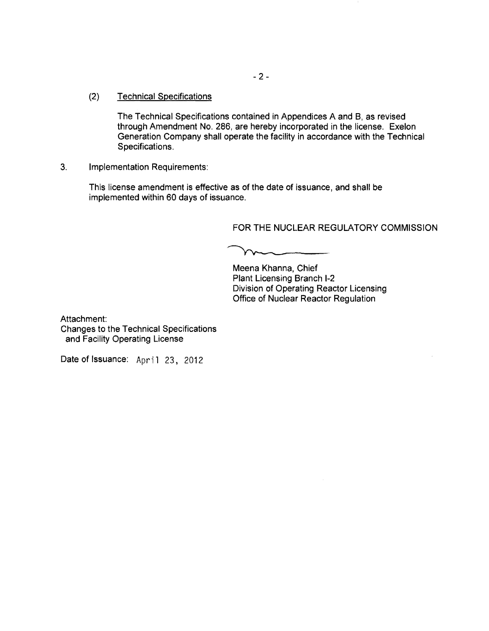### (2) Technical Specifications

The Technical Specifications contained in Appendices A and B, as revised through Amendment No. 286, are hereby incorporated in the license. Exelon Generation Company shall operate the facility in accordance with the Technical Specifications.

## 3. Implementation Requirements:

This license amendment is effective as of the date of issuance, and shall be implemented within 60 days of issuance.

## FOR THE NUCLEAR REGULATORY COMMISSION

 $m$ 

Meena Khanna, Chief Plant Licensing Branch 1-2 Division of Operating Reactor Licensing Office of Nuclear Reactor Regulation

Attachment: Changes to the Technical Specifications and Facility Operating License

Date of Issuance: April 23, 2012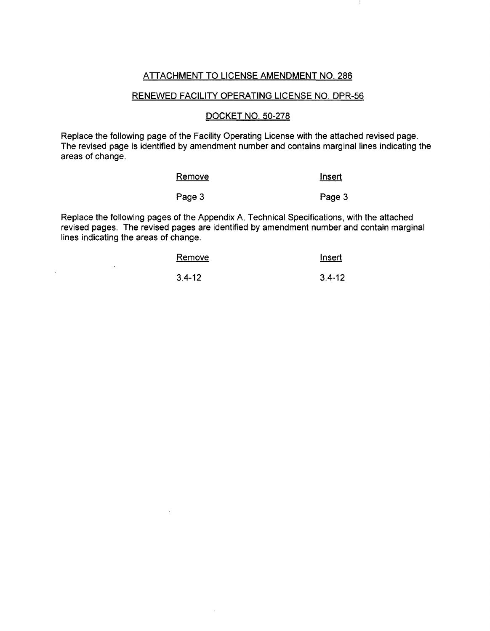## ATTACHMENT TO LICENSE AMENDMENT NO. 286

#### RENEWED FACILITY OPERATING LICENSE NO. DPR-56

### DOCKET NO. 50-278

Replace the following page of the Facility Operating License with the attached revised page. The revised page is identified by amendment number and contains marginal lines indicating the areas of change.

| Remove | Insert<br>------------------ |
|--------|------------------------------|
| Page 3 | Page 3                       |

Replace the following pages of the Appendix A, Technical Specifications, with the attached revised pages. The revised pages are identified by amendment number and contain marginal lines indicating the areas of change.

 $\bar{z}$ 

 $\mathcal{L}^{\pm}$ 

| Remove     | Insert     |
|------------|------------|
| $3.4 - 12$ | $3.4 - 12$ |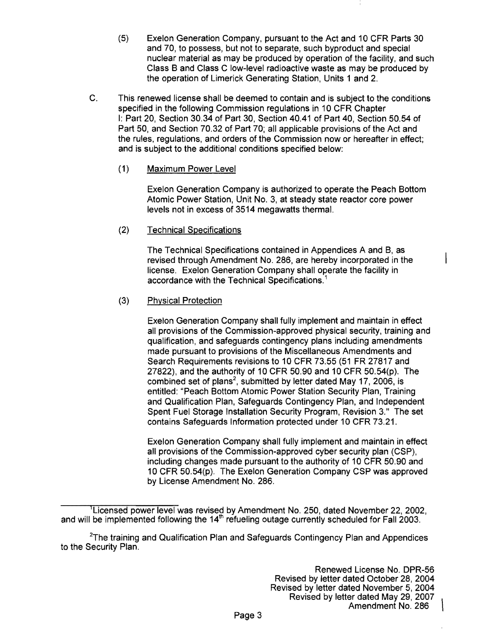- (5) Exelon Generation Company, pursuant to the Act and 10 CFR Parts 30 and 70, to possess, but not to separate, such byproduct and special nuclear material as may be produced by operation of the facility, and such Class B and Class C low-level radioactive waste as may be produced by the operation of Limerick Generating Station, Units 1 and 2.
- C. This renewed license shall be deemed to contain and is subject to the conditions specified in the following Commission regulations in 10 CFR Chapter I: Part 20, Section 30.34 of Part 30, Section 40.41 of Part 40, Section 50.54 of Part 50, and Section 70.32 of Part 70; all applicable provisions of the Act and the rules, regulations, and orders of the Commission now or hereafter in effect; and is subject to the additional conditions specified below:
	- (1) Maximum Power Level

Exelon Generation Company is authorized to operate the Peach Bottom Atomic Power Station, Unit No.3, at steady state reactor core power levels not in excess of 3514 megawatts thermal.

(2) Technical Specifications

The Technical Specifications contained in Appendices A and B, as revised through Amendment No. 286, are hereby incorporated in the license. Exelon Generation Company shall operate the facility in accordance with the Technical Specifications.<sup>1</sup>

# (3) Physical Protection

Exelon Generation Company shall fully implement and maintain in effect all provisions of the Commission-approved physical security, training and qualification, and safeguards contingency plans including amendments made pursuant to provisions of the Miscellaneous Amendments and Search Requirements revisions to 10 CFR 73.55 (51 FR 27817 and 27822), and the authority of 10 CFR 50.90 and 10 CFR 50.54(p). The  $2.32$ , since the datitudity of the oriented of the research contribution combined set of plans<sup>2</sup>, submitted by letter dated May 17, 2006, is entitled: "Peach Bottom Atomic Power Station Security Plan, Training and Qualification Plan, Safeguards Contingency Plan, and Independent Spent Fuel Storage Installation Security Program, Revision 3." The set contains Safeguards Information protected under 10 CFR 73.21.

Exelon Generation Company shall fully implement and maintain in effect all provisions of the Commission-approved cyber security plan (CSP), including changes made pursuant to the authority of 10 CFR 50.90 and 10 CFR 50.54(p). The Exelon Generation Company CSP was approved by License Amendment No. 286.

<sup>&#</sup>x27;Licensed power level was revised by Amendment No. 250, dated November 22,2002, and will be implemented following the 14<sup>th</sup> refueling outage currently scheduled for Fall 2003.

 $2$ The training and Qualification Plan and Safeguards Contingency Plan and Appendices to the Security Plan.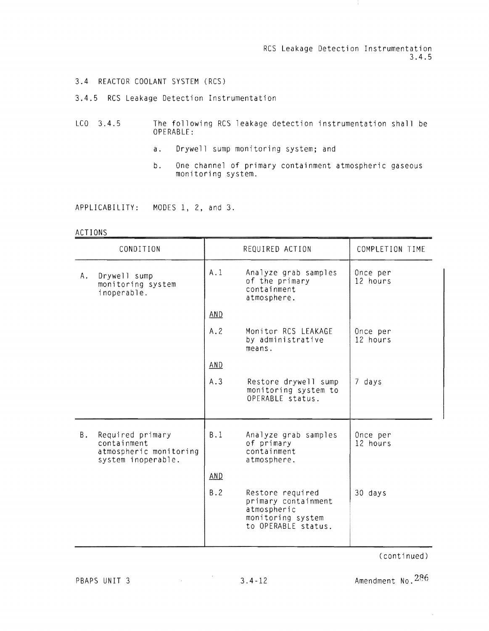RCS Leakage Detection Instrumentation 3.4.5

÷.

#### 3.4 REACTOR COOLANT SYSTEM (RCS)

#### 3.4.5 RCS Leakage Detection Instrumentation

- $LCD \quad 3.4.5$ The following RCS leakage detection instrumentation shall be<br>OPERABLE: OPERABLE:
	- a. Drywell sump monitoring system; and
	- b. One channel of primary containment atmospheric gaseous<br>monitoring system.

APPLICABILITY: MODES I, 2, and 3.

#### ACTI ONS

| CONDITION |                                                                                 | REQUIRED ACTION |                                                                                                    | COMPLETION TIME      |  |
|-----------|---------------------------------------------------------------------------------|-----------------|----------------------------------------------------------------------------------------------------|----------------------|--|
| Α.        | Drywell sump<br>monitoring system<br>inoperable.                                | A.1             | Analyze grab samples<br>of the primary<br>containment<br>atmosphere.                               | Once per<br>12 hours |  |
|           |                                                                                 | AND.            |                                                                                                    |                      |  |
|           |                                                                                 | A.2             | Monitor RCS LEAKAGE<br>by administrative<br>means.                                                 | Once per<br>12 hours |  |
|           |                                                                                 | AND             |                                                                                                    |                      |  |
|           |                                                                                 | A.3             | Restore drywell sump<br>monitoring system to<br>OPERABLE status.                                   | 7 days               |  |
| Β.        | Required primary<br>containment<br>atmospheric monitoring<br>system inoperable. | B.1             | Analyze grab samples<br>of primary<br>containment<br>atmosphere.                                   | Once per<br>12 hours |  |
|           |                                                                                 | <b>AND</b>      |                                                                                                    |                      |  |
|           |                                                                                 | B.2             | Restore required<br>primary containment<br>atmospheric<br>monitoring system<br>to OPERABLE status. | 30 days              |  |

(continued)

PBAPS UNIT 3 3.4-12 Amendment No.  $286$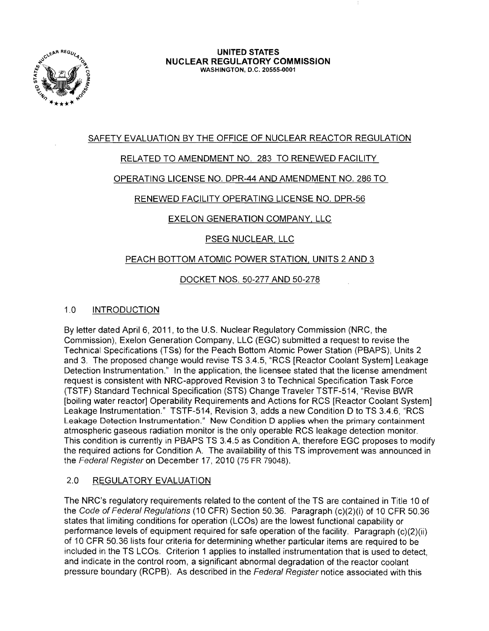

# SAFETY EVALUATION BY THE OFFICE OF NUCLEAR REACTOR REGULATION

# RELATED TO AMENDMENT NO. 283 TO RENEWED FACILITY

# OPERATING LICENSE NO. DPR-44 AND AMENDMENT NO. 286 TO

# RENEWED FACILITY OPERATING LICENSE NO. DPR-56

# EXELON GENERATION COMPANY, LLC

# PSEG NUCLEAR, LLC

# PEACH BOTTOM ATOMIC POWER STATION, UNITS 2 AND 3

# DOCKET NOS. 50-277 AND 50-278

# 1.0 INTRODUCTION

By letter dated April 6, 2011, to the U.S. Nuclear Regulatory Commission (NRC, the Commission), Exelon Generation Company, LLC (EGC) submitted a request to revise the Technical Specifications (TSs) for the Peach Bottom Atomic Power Station (PBAPS), Units 2 and 3. The proposed change would revise TS 3.4.5, "RCS [Reactor Coolant System] Leakage Detection Instrumentation." In the application, the licensee stated that the license amendment request is consistent with NRC-approved Revision 3 to Technical Specification Task Force (TSTF) Standard Technical Specification (STS) Change Traveler TSTF-514, "Revise BWR [boiling water reactor] Operability Requirements and Actions for RCS [Reactor Coolant System] Leakage Instrumentation." TSTF-514, Revision 3, adds a new Condition D to TS 3.4.6, "RCS Leakage Detection Instrumentation." New Condition D applies when the primary containment atmospheric gaseous radiation monitor is the only operable RCS leakage detection monitor. This condition is currently in PBAPS TS 3.4.5 as Condition A. therefore EGC proposes to modify the required actions for Condition A. The availability of this TS improvement was announced in the Federal Register on December 17,2010 (75 FR 79048).

# 2.0 REGULATORY EVALUATION

The NRC's regulatory requirements related to the content of the TS are contained in Title 10 of the Code of Federal Regulations (10 CFR) Section 50.36. Paragraph (c)(2)(i) of 10 CFR 50.36 states that limiting conditions for operation (LCOs) are the lowest functional capability or performance levels of equipment required for safe operation of the facility. Paragraph (c)(2)(ii) of 10 CFR 50.36 lists four criteria for determining whether particular items are required to be included in the TS LCOs. Criterion 1 applies to installed instrumentation that is used to detect, and indicate in the control room, a significant abnormal degradation of the reactor coolant pressure boundary (RCPB). As described in the Federal Register notice associated with this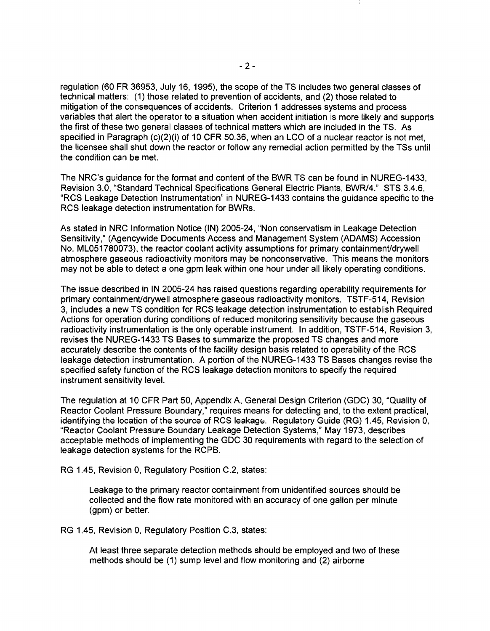regulation (60 FR 36953, July 16, 1995), the scope of the TS includes two general classes of technical matters: (1) those related to prevention of accidents, and (2) those related to mitigation of the consequences of accidents. Criterion 1 addresses systems and process variables that alert the operator to a situation when accident initiation is more likely and supports the first of these two general classes of technical matters which are included in the TS. As specified in Paragraph (c)(2)(i) of 10 CFR 50.36, when an LCO of a nuclear reactor is not met, the licensee shall shut down the reactor or follow any remedial action permitted by the TSs until the condition can be met.

The NRC's guidance for the format and content of the BWR TS can be found in NUREG-1433, Revision 3.0, "Standard Technical Specifications General Electric Plants, BWR/4." STS 3.4.6, "RCS Leakage Detection Instrumentation" in NUREG-1433 contains the guidance specific to the RCS leakage detection instrumentation for BWRs.

As stated in NRC Information Notice (IN) 2005-24, "Non conservatism in Leakage Detection Sensitivity," (Agencywide Documents Access and Management System (ADAMS) Accession No. ML051780073), the reactor coolant activity assumptions for primary containment/drywell atmosphere gaseous radioactivity monitors may be nonconservative. This means the monitors may not be able to detect a one gpm leak within one hour under all likely operating conditions.

The issue described in IN 2005-24 has raised questions regarding operability requirements for primary containmentldrywell atmosphere gaseous radioactivity monitors. TSTF-514, Revision 3, includes a new TS condition for RCS leakage detection instrumentation to establish Required Actions for operation during conditions of reduced monitoring sensitivity because the gaseous radioactivity instrumentation is the only operable instrument. In addition, TSTF-514, Revision 3, revises the NUREG-1433 TS Bases to summarize the proposed TS changes and more accurately describe the contents of the facility design basis related to operability of the RCS leakage detection instrumentation. A portion of the NUREG-1433 TS Bases changes revise the specified safety function of the RCS leakage detection monitors to specify the required instrument sensitivity level.

The regulation at 10 CFR Part 50, Appendix A, General Design Criterion (GDC) 30, "Quality of Reactor Coolant Pressure Boundary," requires means for detecting and, to the extent practical, identifying the location of the source of RCS leakage. Regulatory Guide (RG) 1.45, Revision 0, "Reactor Coolant Pressure Boundary Leakage Detection Systems," May 1973, describes acceptable methods of implementing the GDC 30 requirements with regard to the selection of leakage detection systems for the RCPB.

RG 1.45, Revision 0, Regulatory Position C.2, states:

Leakage to the primary reactor containment from unidentified sources should be collected and the flow rate monitored with an accuracy of one gallon per minute (gpm) or better.

RG 1.45, Revision 0, Regulatory Position C.3, states:

At least three separate detection methods should be employed and two of these methods should be (1) sump level and flow monitoring and (2) airborne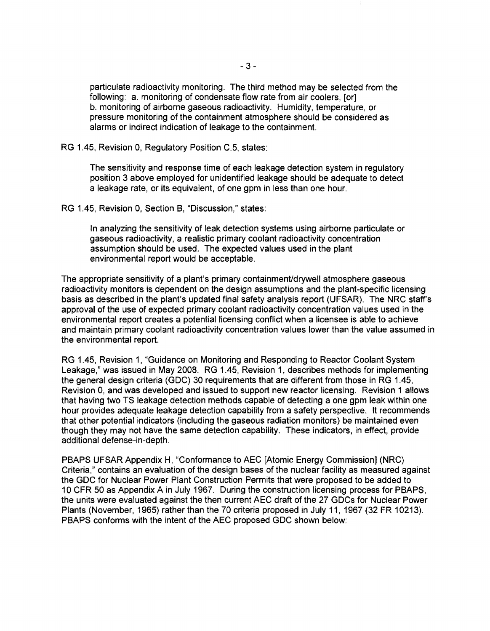particulate radioactivity monitoring. The third method may be selected from the following: a. monitoring of condensate flow rate from air coolers, [or] b. monitoring of airborne gaseous radioactivity. Humidity, temperature, or pressure monitoring of the containment atmosphere should be considered as alarms or indirect indication of leakage to the containment.

RG 1.45, Revision 0, Regulatory Position C.5, states:

The sensitivity and response time of each leakage detection system in regulatory position 3 above employed for unidentified leakage should be adequate to detect a leakage rate, or its equivalent, of one gpm in less than one hour.

RG 1.45, Revision 0, Section B, "Discussion," states:

In analyzing the sensitivity of leak detection systems using airborne particulate or gaseous radioactivity, a realistic primary coolant radioactivity concentration assumption should be used. The expected values used in the plant environmental report would be acceptable.

The appropriate sensitivity of a plant's primary containmentldrywell atmosphere gaseous radioactivity monitors is dependent on the design assumptions and the plant-specific licensing basis as described in the plant's updated final safety analysis report (UFSAR). The NRC staffs approval of the use of expected primary coolant radioactivity concentration values used in the environmental report creates a potential licensing conflict when a licensee is able to achieve and maintain primary coolant radioactivity concentration values lower than the value assumed in the environmental report.

RG 1.45, Revision 1, "Guidance on Monitoring and Responding to Reactor Coolant System Leakage," was issued in May 2008. RG 1.45, Revision 1, describes methods for implementing the general design criteria (GDC) 30 requirements that are different from those in RG 1.45, Revision 0, and was developed and issued to support new reactor licensing. Revision 1 allows that having two TS leakage detection methods capable of detecting a one gpm leak within one hour provides adequate leakage detection capability from a safety perspective. It recommends that other potential indicators (including the gaseous radiation monitors) be maintained even though they may not have the same detection capability. These indicators, in effect, provide additional defense-in-depth.

PBAPS UFSAR Appendix H, "Conformance to AEC [Atomic Energy Commission) (NRC) Criteria," contains an evaluation of the design bases of the nuclear facility as measured against the GDC for Nuclear Power Plant Construction Permits that were proposed to be added to 10 CFR 50 as Appendix A in July 1967. During the construction licensing process for PBAPS, the units were evaluated against the then current AEC draft of the 27 GDCs for Nuclear Power Plants (November, 1965) rather than the 70 criteria proposed in July 11, 1967 (32 FR 10213). PBAPS conforms with the intent of the AEC proposed GDC shown below: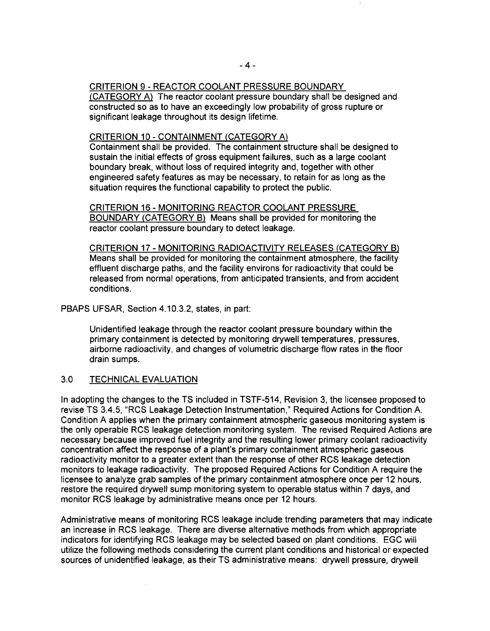## CRITERION 9 - REACTOR COOLANT PRESSURE BOUNDARY

(CATEGORY A) The reactor coolant pressure boundary shall be designed and constructed so as to have an exceedingly low probability of gross rupture or significant leakage throughout its design lifetime.

### CRITERION 10 - CONTAINMENT (CATEGORY A)

Containment shall be provided. The containment structure shall be designed to sustain the initial effects of gross equipment failures, such as a large coolant boundary break, without loss of required integrity and, together with other engineered safety features as may be necessary, to retain for as long as the situation requires the functional capability to protect the public.

CRITERION 16 - MONITORING REACTOR COOLANT PRESSURE BOUNDARY (CATEGORY B) Means shall be provided for monitoring the reactor coolant pressure boundary to detect leakage.

CRITERION 17 - MONITORING RADIOACTIVITY RELEASES (CATEGORY B) Means shall be provided for monitoring the containment atmosphere, the facility effluent discharge paths, and the facility environs for radioactivity that could be released from normal operations, from anticipated transients, and from accident conditions.

## PBAPS UFSAR, Section 4.10.3.2, states, in part:

Unidentified leakage through the reactor coolant pressure boundary within the primary containment is detected by monitoring drywell temperatures, pressures, airborne radioactivity, and changes of volumetric discharge flow rates in the floor drain sumps.

## 3.0 TECHNICAL EVALUATION

In adopting the changes to the TS included in TSTF-514, Revision 3, the licensee proposed to revise TS 3.4.5, "RCS Leakage Detection Instrumentation," Required Actions for Condition A. Condition A applies when the primary containment atmospheric gaseous monitoring system is the only operable RCS leakage detection monitoring system. The revised Required Actions are necessary because improved fuel integrity and the resulting lower primary coolant radioactivity concentration affect the response of a plant's primary containment atmospheric gaseous radioactivity monitor to a greater extent than the response of other RCS leakage detection monitors to leakage radioactivity. The proposed Required Actions for Condition A require the licensee to analyze grab samples of the primary containment atmosphere once per 12 hours, restore the required drywell sump monitoring system to operable status within 7 days, and monitor RCS leakage by administrative means once per 12 hours.

Administrative means of monitoring RCS leakage include trending parameters that may indicate an increase in RCS leakage. There are diverse alternative methods from which appropriate indicators for identifying RCS leakage may be selected based on plant conditions. EGC will utilize the following methods considering the current plant conditions and historical or expected sources of unidentified leakage, as their TS administrative means: drywell pressure, drywell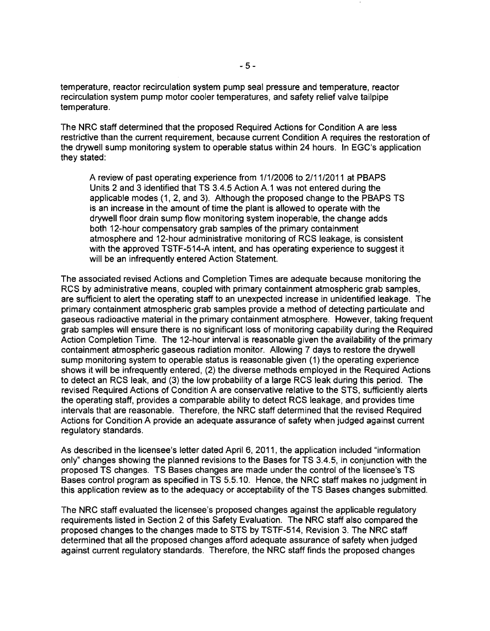temperature, reactor recirculation system pump seal pressure and temperature, reactor recirculation system pump motor cooler temperatures, and safety relief valve tailpipe temperature.

The NRC staff determined that the proposed Required Actions for Condition A are less restrictive than the current requirement, because current Condition A requires the restoration of the drywell sump monitoring system to operable status within 24 hours. In EGC's application they stated:

A review of past operating experience from 1/1/2006 to 2/11/2011 at PBAPS Units 2 and 3 identified that TS 3.4.5 Action A.1 was not entered during the applicable modes (1, 2, and 3). Although the proposed change to the PBAPS TS is an increase in the amount of time the plant is allowed to operate with the drywell floor drain sump flow monitoring system inoperable, the change adds both 12-hour compensatory grab samples of the primary containment atmosphere and 12-hour administrative monitoring of RCS leakage, is consistent with the approved TSTF-514-A intent, and has operating experience to suggest it will be an infrequently entered Action Statement.

The associated revised Actions and Completion Times are adequate because monitoring the RCS by administrative means, coupled with primary containment atmospheric grab samples, are sufficient to alert the operating staff to an unexpected increase in unidentified leakage. The primary containment atmospheric grab samples provide a method of detecting particulate and gaseous radioactive material in the primary containment atmosphere. However, taking frequent grab samples will ensure there is no significant loss of monitoring capability during the Required Action Completion Time. The 12-hour interval is reasonable given the availability of the primary containment atmospheric gaseous radiation monitor. Allowing 7 days to restore the drywell sump monitoring system to operable status is reasonable given (1) the operating experience shows it will be infrequently entered, (2) the diverse methods employed in the Required Actions to detect an RCS leak, and (3) the low probability of a large RCS leak during this period. The revised Required Actions of Condition A are conservative relative to the STS, sufficiently alerts the operating staff, provides a comparable ability to detect RCS leakage, and provides time intervals that are reasonable. Therefore, the NRC staff determined that the revised Required Actions for Condition A provide an adequate assurance of safety when judged against current regulatory standards.

As described in the licensee's letter dated April 6, 2011, the application included "information only" changes showing the planned revisions to the Bases for TS 3.4.5, in conjunction with the proposed TS changes. TS Bases changes are made under the control of the licensee's TS Bases control program as specified in TS 5.5.10. Hence, the NRC staff makes no judgment in this application review as to the adequacy or acceptability of the TS Bases changes submitted.

The NRC staff evaluated the licensee's proposed changes against the applicable regulatory requirements listed in Section 2 of this Safety Evaluation. The NRC staff also compared the proposed changes to the changes made to STS by TSTF-514, Revision 3. The NRC staff determined that all the proposed changes afford adequate assurance of safety when judged against current regulatory standards. Therefore, the NRC staff finds the proposed changes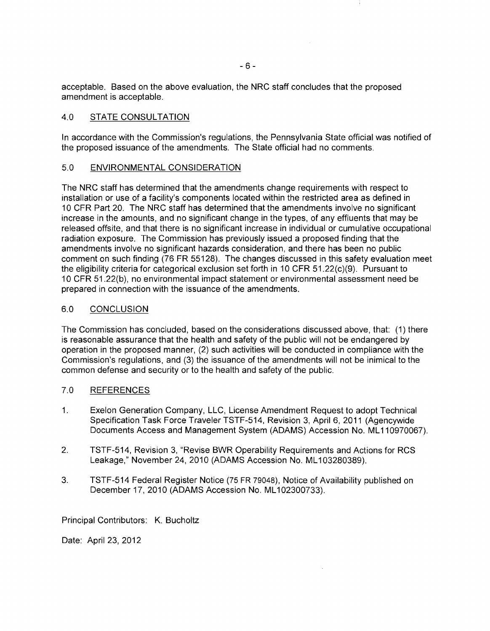acceptable. Based on the above evaluation, the NRC staff concludes that the proposed amendment is acceptable.

## 4.0 STATE CONSULTATION

In accordance with the Commission's regulations, the Pennsylvania State official was notified of the proposed issuance of the amendments. The State official had no comments.

## 5.0 ENVIRONMENTAL CONSIDERATION

The NRC staff has determined that the amendments change requirements with respect to installation or use of a facility's components located within the restricted area as defined in 10 CFR Part 20. The NRC staff has determined that the amendments involve no significant increase in the amounts, and no significant change in the types, of any effluents that may be released offsite, and that there is no significant increase in individual or cumulative occupational radiation exposure. The Commission has previously issued a proposed finding that the amendments involve no significant hazards consideration, and there has been no public comment on such finding (76 FR 55128). The changes discussed in this safety evaluation meet the eligibility criteria for categorical exclusion set forth in 10 CFR 51.22(c)(9). Pursuant to 10 CFR 51.22(b), no environmental impact statement or environmental assessment need be prepared in connection with the issuance of the amendments.

## 6.0 CONCLUSION

The Commission has concluded, based on the considerations discussed above, that: (1) there is reasonable assurance that the health and safety of the public will not be endangered by operation in the proposed manner, (2) such activities will be conducted in compliance with the Commission's regulations, and (3) the issuance of the amendments will not be inimical to the common defense and security or to the health and safety of the public.

## 7.0 REFERENCES

- 1. Exelon Generation Company, LLC, License Amendment Request to adopt Technical Specification Task Force Traveler TSTF-514, Revision 3, April 6, 2011 (Agencywide Documents Access and Management System (ADAMS) Accession No. ML110970067).
- 2. TSTF-514, Revision 3, "Revise BWR Operability Requirements and Actions for RCS Leakage," November 24, 2010 (ADAMS Accession No. ML103280389).
- 3. TSTF-514 Federal Register Notice (75 FR 79048), Notice of Availability published on December 17, 2010 (ADAMS Accession No. ML102300733).

Principal Contributors: K. Bucholtz

Date: April 23, 2012